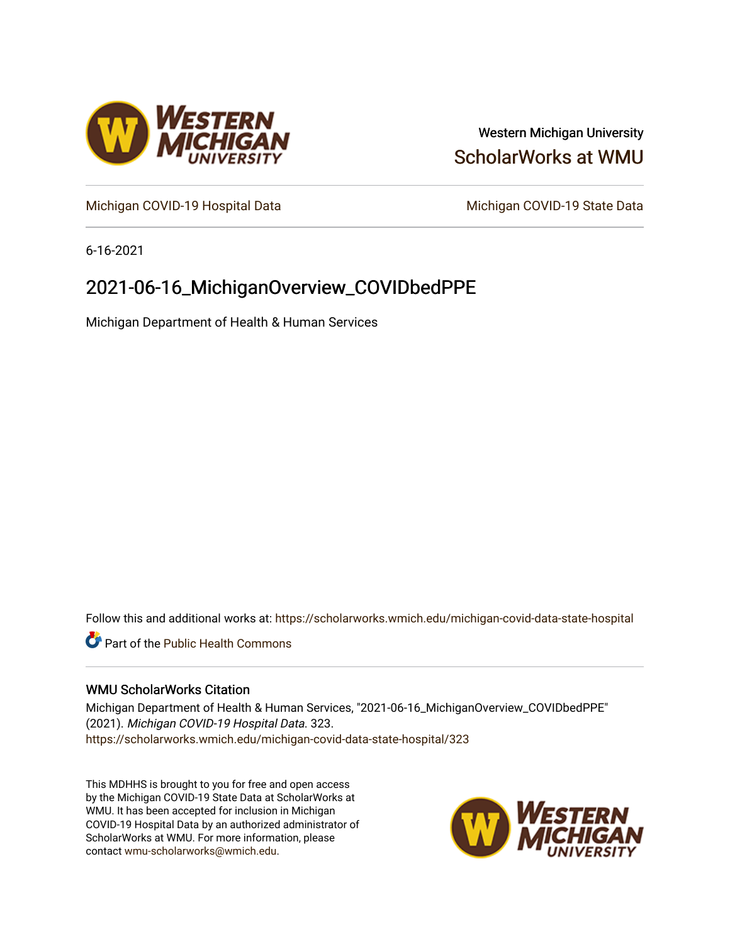

# Western Michigan University [ScholarWorks at WMU](https://scholarworks.wmich.edu/)

[Michigan COVID-19 Hospital Data](https://scholarworks.wmich.edu/michigan-covid-data-state-hospital) Michigan COVID-19 State Data

6-16-2021

# 2021-06-16\_MichiganOverview\_COVIDbedPPE

Michigan Department of Health & Human Services

Follow this and additional works at: [https://scholarworks.wmich.edu/michigan-covid-data-state-hospital](https://scholarworks.wmich.edu/michigan-covid-data-state-hospital?utm_source=scholarworks.wmich.edu%2Fmichigan-covid-data-state-hospital%2F323&utm_medium=PDF&utm_campaign=PDFCoverPages) 

**Part of the Public Health Commons** 

### WMU ScholarWorks Citation

Michigan Department of Health & Human Services, "2021-06-16\_MichiganOverview\_COVIDbedPPE" (2021). Michigan COVID-19 Hospital Data. 323. [https://scholarworks.wmich.edu/michigan-covid-data-state-hospital/323](https://scholarworks.wmich.edu/michigan-covid-data-state-hospital/323?utm_source=scholarworks.wmich.edu%2Fmichigan-covid-data-state-hospital%2F323&utm_medium=PDF&utm_campaign=PDFCoverPages) 

This MDHHS is brought to you for free and open access by the Michigan COVID-19 State Data at ScholarWorks at WMU. It has been accepted for inclusion in Michigan COVID-19 Hospital Data by an authorized administrator of ScholarWorks at WMU. For more information, please contact [wmu-scholarworks@wmich.edu](mailto:wmu-scholarworks@wmich.edu).

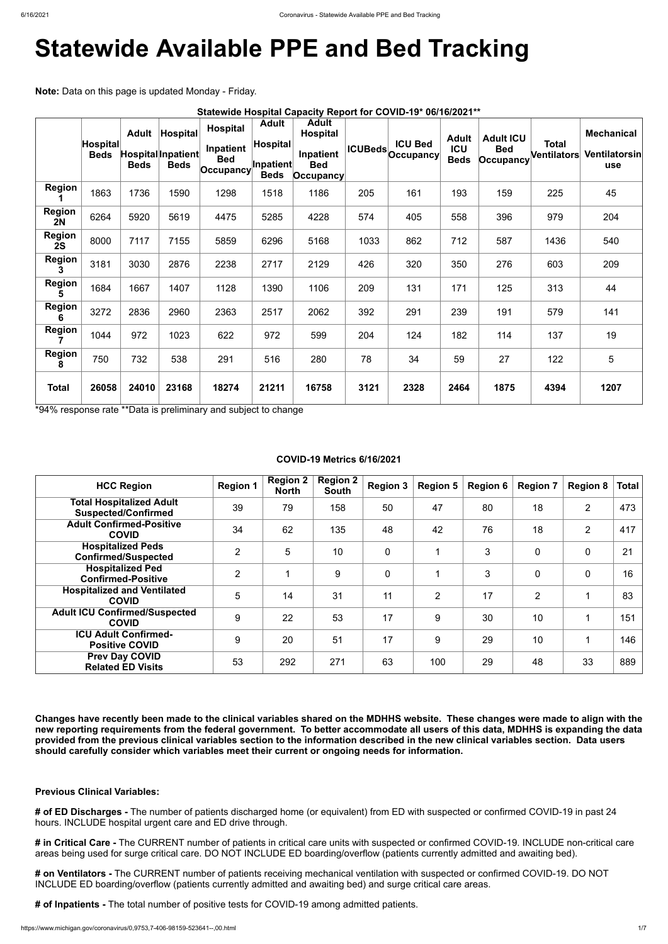# **Statewide Available PPE and Bed Tracking**

**Note:** Data on this page is updated Monday - Friday.

|                     | Statewide Hospital Capacity Report for COVID-19* 06/16/2021** |                             |                                               |                                                             |                                                             |                                                                             |      |                                            |                                           |                                                    |                      |                                                         |
|---------------------|---------------------------------------------------------------|-----------------------------|-----------------------------------------------|-------------------------------------------------------------|-------------------------------------------------------------|-----------------------------------------------------------------------------|------|--------------------------------------------|-------------------------------------------|----------------------------------------------------|----------------------|---------------------------------------------------------|
|                     | <b>Hospital</b><br><b>Beds</b>                                | <b>Adult</b><br><b>Beds</b> | Hospital<br>Hospital Inpatient<br><b>Beds</b> | <b>Hospital</b><br>Inpatient<br><b>Bed</b><br>$ $ Occupancy | <b>Adult</b><br>Hospital<br><b>Inpatient</b><br><b>Beds</b> | <b>Adult</b><br><b>Hospital</b><br>Inpatient<br><b>Bed</b><br>$ $ Occupancy |      | <b>ICU Bed</b><br><b>ICUBeds</b> Occupancy | <b>Adult</b><br><b>ICU</b><br><b>Beds</b> | <b>Adult ICU</b><br><b>Bed</b><br><b>Occupancy</b> | Total<br>Ventilators | <b>Mechanical</b><br><b>Ventilatorsin</b><br><b>use</b> |
| <b>Region</b>       | 1863                                                          | 1736                        | 1590                                          | 1298                                                        | 1518                                                        | 1186                                                                        | 205  | 161                                        | 193                                       | 159                                                | 225                  | 45                                                      |
| <b>Region</b><br>2N | 6264                                                          | 5920                        | 5619                                          | 4475                                                        | 5285                                                        | 4228                                                                        | 574  | 405                                        | 558                                       | 396                                                | 979                  | 204                                                     |
| <b>Region</b><br>2S | 8000                                                          | 7117                        | 7155                                          | 5859                                                        | 6296                                                        | 5168                                                                        | 1033 | 862                                        | 712                                       | 587                                                | 1436                 | 540                                                     |
| <b>Region</b><br>3  | 3181                                                          | 3030                        | 2876                                          | 2238                                                        | 2717                                                        | 2129                                                                        | 426  | 320                                        | 350                                       | 276                                                | 603                  | 209                                                     |
| <b>Region</b><br>5  | 1684                                                          | 1667                        | 1407                                          | 1128                                                        | 1390                                                        | 1106                                                                        | 209  | 131                                        | 171                                       | 125                                                | 313                  | 44                                                      |
| <b>Region</b><br>6  | 3272                                                          | 2836                        | 2960                                          | 2363                                                        | 2517                                                        | 2062                                                                        | 392  | 291                                        | 239                                       | 191                                                | 579                  | 141                                                     |
| <b>Region</b>       | 1044                                                          | 972                         | 1023                                          | 622                                                         | 972                                                         | 599                                                                         | 204  | 124                                        | 182                                       | 114                                                | 137                  | 19                                                      |
| <b>Region</b><br>8  | 750                                                           | 732                         | 538                                           | 291                                                         | 516                                                         | 280                                                                         | 78   | 34                                         | 59                                        | 27                                                 | 122                  | 5                                                       |
| <b>Total</b>        | 26058                                                         | 24010                       | 23168                                         | 18274                                                       | 21211                                                       | 16758                                                                       | 3121 | 2328                                       | 2464                                      | 1875                                               | 4394                 | 1207                                                    |

\*94% response rate \*\*Data is preliminary and subject to change

# **COVID-19 Metrics 6/16/2021**

| <b>HCC Region</b>                                             | <b>Region 1</b> | <b>Region 2</b><br><b>North</b> | <b>Region 2</b><br><b>South</b> | <b>Region 3</b> | <b>Region 5</b> | <b>Region 6</b> | <b>Region 7</b> | <b>Region 8</b> | <b>Total</b> |
|---------------------------------------------------------------|-----------------|---------------------------------|---------------------------------|-----------------|-----------------|-----------------|-----------------|-----------------|--------------|
| <b>Total Hospitalized Adult</b><br><b>Suspected/Confirmed</b> | 39              | 79                              | 158                             | 50              | 47              | 80              | 18              | $\overline{2}$  | 473          |
| <b>Adult Confirmed-Positive</b><br><b>COVID</b>               | 34              | 62                              | 135                             | 48              | 42              | 76              | 18              | $\overline{2}$  | 417          |
| <b>Hospitalized Peds</b><br><b>Confirmed/Suspected</b>        | $\overline{2}$  | 5                               | 10                              | $\overline{0}$  |                 | 3               | $\mathbf 0$     | $\mathbf 0$     | 21           |
| <b>Hospitalized Ped</b><br><b>Confirmed-Positive</b>          | $\overline{2}$  |                                 | 9                               | $\overline{0}$  |                 | 3               | $\overline{0}$  | $\mathbf 0$     | 16           |
| <b>Hospitalized and Ventilated</b><br><b>COVID</b>            | 5               | 14                              | 31                              | 11              | $\overline{2}$  | 17              | 2               |                 | 83           |
| <b>Adult ICU Confirmed/Suspected</b><br><b>COVID</b>          | 9               | 22                              | 53                              | 17              | 9               | 30              | 10              |                 | 151          |
| <b>ICU Adult Confirmed-</b><br><b>Positive COVID</b>          | 9               | 20                              | 51                              | 17              | 9               | 29              | 10              |                 | 146          |
| <b>Prev Day COVID</b><br><b>Related ED Visits</b>             | 53              | 292                             | 271                             | 63              | 100             | 29              | 48              | 33              | 889          |

**Changes have recently been made to the clinical variables shared on the MDHHS website. These changes were made to align with the new reporting requirements from the federal government. To better accommodate all users of this data, MDHHS is expanding the data provided from the previous clinical variables section to the information described in the new clinical variables section. Data users should carefully consider which variables meet their current or ongoing needs for information.**

**Previous Clinical Variables:**

**# of ED Discharges -** The number of patients discharged home (or equivalent) from ED with suspected or confirmed COVID-19 in past 24 hours. INCLUDE hospital urgent care and ED drive through.

**# in Critical Care -** The CURRENT number of patients in critical care units with suspected or confirmed COVID-19. INCLUDE non-critical care areas being used for surge critical care. DO NOT INCLUDE ED boarding/overflow (patients currently admitted and awaiting bed).

**# on Ventilators -** The CURRENT number of patients receiving mechanical ventilation with suspected or confirmed COVID-19. DO NOT INCLUDE ED boarding/overflow (patients currently admitted and awaiting bed) and surge critical care areas.

**# of Inpatients -** The total number of positive tests for COVID-19 among admitted patients.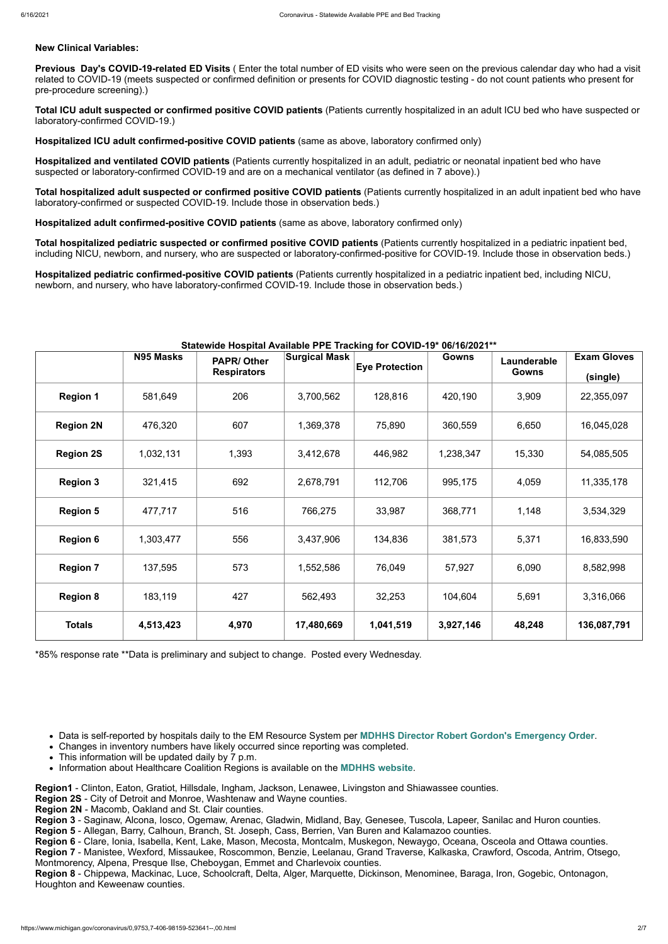# **New Clinical Variables:**

**Previous Day's COVID-19-related ED Visits** ( Enter the total number of ED visits who were seen on the previous calendar day who had a visit related to COVID-19 (meets suspected or confirmed definition or presents for COVID diagnostic testing - do not count patients who present for pre-procedure screening).)

**Total ICU adult suspected or confirmed positive COVID patients** (Patients currently hospitalized in an adult ICU bed who have suspected or laboratory-confirmed COVID-19.)

**Hospitalized ICU adult confirmed-positive COVID patients** (same as above, laboratory confirmed only)

**Hospitalized and ventilated COVID patients** (Patients currently hospitalized in an adult, pediatric or neonatal inpatient bed who have suspected or laboratory-confirmed COVID-19 and are on a mechanical ventilator (as defined in 7 above).)

**Total hospitalized adult suspected or confirmed positive COVID patients** (Patients currently hospitalized in an adult inpatient bed who have laboratory-confirmed or suspected COVID-19. Include those in observation beds.)

**Hospitalized adult confirmed-positive COVID patients** (same as above, laboratory confirmed only)

**Total hospitalized pediatric suspected or confirmed positive COVID patients** (Patients currently hospitalized in a pediatric inpatient bed, including NICU, newborn, and nursery, who are suspected or laboratory-confirmed-positive for COVID-19. Include those in observation beds.)

**Hospitalized pediatric confirmed-positive COVID patients** (Patients currently hospitalized in a pediatric inpatient bed, including NICU, newborn, and nursery, who have laboratory-confirmed COVID-19. Include those in observation beds.)

### **Statewide Hospital Available PPE Tracking for COVID-19\* 06/16/2021\*\***

|                  | N95 Masks | statowiao 1100pital 711<br><b>PAPR/Other</b> | <b>Surgical Mask</b> | <b>Eye Protection</b> | <b>Gowns</b> | Launderable  | <b>Exam Gloves</b> |
|------------------|-----------|----------------------------------------------|----------------------|-----------------------|--------------|--------------|--------------------|
|                  |           | <b>Respirators</b>                           |                      |                       |              | <b>Gowns</b> | (single)           |
| <b>Region 1</b>  | 581,649   | 206                                          | 3,700,562            | 128,816               | 420,190      | 3,909        | 22,355,097         |
| <b>Region 2N</b> | 476,320   | 607                                          | 1,369,378            | 75,890                | 360,559      | 6,650        | 16,045,028         |
| <b>Region 2S</b> | 1,032,131 | 1,393                                        | 3,412,678            | 446,982               | 1,238,347    | 15,330       | 54,085,505         |
| <b>Region 3</b>  | 321,415   | 692                                          | 2,678,791            | 112,706               | 995,175      | 4,059        | 11,335,178         |
| <b>Region 5</b>  | 477,717   | 516                                          | 766,275              | 33,987                | 368,771      | 1,148        | 3,534,329          |
| <b>Region 6</b>  | 1,303,477 | 556                                          | 3,437,906            | 134,836               | 381,573      | 5,371        | 16,833,590         |
| <b>Region 7</b>  | 137,595   | 573                                          | 1,552,586            | 76,049                | 57,927       | 6,090        | 8,582,998          |
| <b>Region 8</b>  | 183,119   | 427                                          | 562,493              | 32,253                | 104,604      | 5,691        | 3,316,066          |
| <b>Totals</b>    | 4,513,423 | 4,970                                        | 17,480,669           | 1,041,519             | 3,927,146    | 48,248       | 136,087,791        |

\*85% response rate \*\*Data is preliminary and subject to change. Posted every Wednesday.

- Data is self-reported by hospitals daily to the EM Resource System per **[MDHHS Director Robert Gordon's Emergency Order](https://www.michigan.gov/documents/coronavirus/MDHHS_epidemic_reporting_order_and_instructions_684709_7.pdf)**.
- Changes in inventory numbers have likely occurred since reporting was completed.
- This information will be updated daily by 7 p.m.
- Information about Healthcare Coalition Regions is available on the **[MDHHS website](https://www.michigan.gov/mdhhs/0,5885,7-339-71548_54783_54826_56171-237197--,00.html#hcc)**.

**Region1** - Clinton, Eaton, Gratiot, Hillsdale, Ingham, Jackson, Lenawee, Livingston and Shiawassee counties.

**Region 2S** - City of Detroit and Monroe, Washtenaw and Wayne counties.

**Region 2N** - Macomb, Oakland and St. Clair counties.

**Region 3** - Saginaw, Alcona, Iosco, Ogemaw, Arenac, Gladwin, Midland, Bay, Genesee, Tuscola, Lapeer, Sanilac and Huron counties.

**Region 5** - Allegan, Barry, Calhoun, Branch, St. Joseph, Cass, Berrien, Van Buren and Kalamazoo counties.

**Region 6** - Clare, Ionia, Isabella, Kent, Lake, Mason, Mecosta, Montcalm, Muskegon, Newaygo, Oceana, Osceola and Ottawa counties. **Region 7** - Manistee, Wexford, Missaukee, Roscommon, Benzie, Leelanau, Grand Traverse, Kalkaska, Crawford, Oscoda, Antrim, Otsego, Montmorency, Alpena, Presque Ilse, Cheboygan, Emmet and Charlevoix counties.

**Region 8** - Chippewa, Mackinac, Luce, Schoolcraft, Delta, Alger, Marquette, Dickinson, Menominee, Baraga, Iron, Gogebic, Ontonagon, Houghton and Keweenaw counties.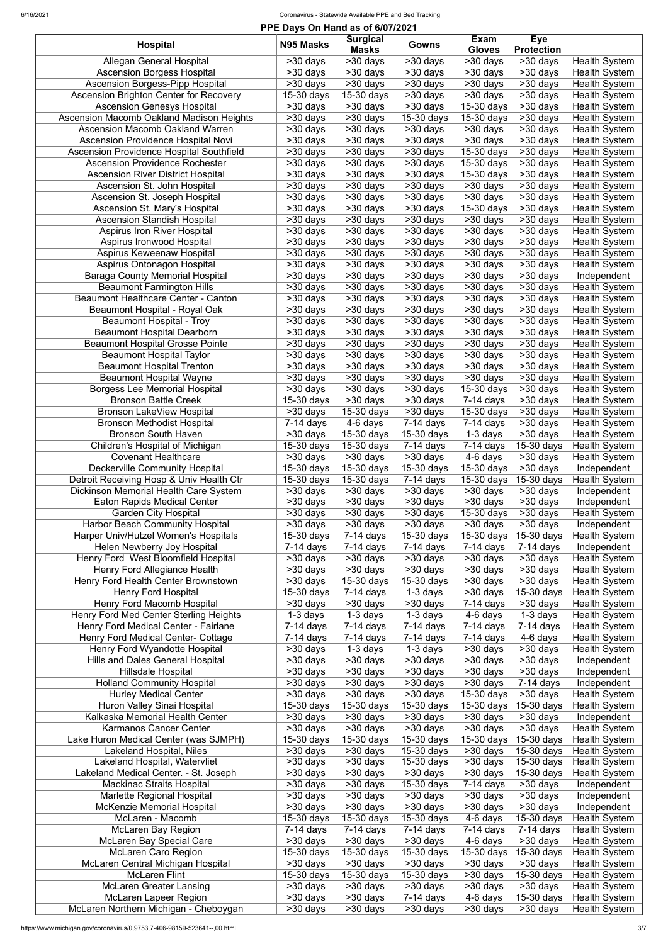| PPE Days On Hand as of 6/07/2021                                                   |                        |                        |                          |                                    |                                    |                                              |  |  |
|------------------------------------------------------------------------------------|------------------------|------------------------|--------------------------|------------------------------------|------------------------------------|----------------------------------------------|--|--|
| <b>Hospital</b>                                                                    | N95 Masks              | <b>Surgical</b>        | <b>Gowns</b>             | <b>Exam</b>                        | <b>Eye</b>                         |                                              |  |  |
|                                                                                    |                        | <b>Masks</b>           |                          | <b>Gloves</b>                      | <b>Protection</b>                  |                                              |  |  |
| Allegan General Hospital                                                           | >30 days               | >30 days               | >30 days                 | >30 days                           | $>30$ days                         | <b>Health System</b>                         |  |  |
| <b>Ascension Borgess Hospital</b>                                                  | >30 days               | >30 days               | >30 days                 | >30 days                           | >30 days                           | <b>Health System</b>                         |  |  |
| <b>Ascension Borgess-Pipp Hospital</b>                                             | >30 days               | >30 days               | >30 days                 | >30 days                           | >30 days                           | <b>Health System</b>                         |  |  |
| <b>Ascension Brighton Center for Recovery</b><br><b>Ascension Genesys Hospital</b> | $15-30$ days           | 15-30 days             | >30 days                 | >30 days                           | >30 days                           | <b>Health System</b>                         |  |  |
|                                                                                    | >30 days               | $>30$ days             | >30 days<br>15-30 days   | 15-30 days<br>$15-30$ days         | >30 days                           | <b>Health System</b>                         |  |  |
| Ascension Macomb Oakland Madison Heights<br><b>Ascension Macomb Oakland Warren</b> | >30 days               | >30 days               | >30 days                 | >30 days                           | >30 days<br>>30 days               | <b>Health System</b><br><b>Health System</b> |  |  |
| <b>Ascension Providence Hospital Novi</b>                                          | >30 days               | >30 days               | >30 days                 |                                    |                                    |                                              |  |  |
|                                                                                    | >30 days               | >30 days               |                          | >30 days                           | >30 days<br>>30 days               | <b>Health System</b>                         |  |  |
| Ascension Providence Hospital Southfield<br><b>Ascension Providence Rochester</b>  | >30 days<br>>30 days   | >30 days<br>>30 days   | >30 days<br>>30 days     | $15-30$ days<br>15-30 days         | >30 days                           | <b>Health System</b><br><b>Health System</b> |  |  |
| <b>Ascension River District Hospital</b>                                           | >30 days               | >30 days               | >30 days                 | 15-30 days                         | >30 days                           | <b>Health System</b>                         |  |  |
| Ascension St. John Hospital                                                        | >30 days               | >30 days               | >30 days                 | >30 days                           | >30 days                           | <b>Health System</b>                         |  |  |
| Ascension St. Joseph Hospital                                                      | >30 days               | >30 days               | >30 days                 | >30 days                           | >30 days                           | <b>Health System</b>                         |  |  |
| Ascension St. Mary's Hospital                                                      | >30 days               | >30 days               | >30 days                 | 15-30 days                         | >30 days                           | <b>Health System</b>                         |  |  |
| <b>Ascension Standish Hospital</b>                                                 | >30 days               | >30 days               | >30 days                 | >30 days                           | >30 days                           | <b>Health System</b>                         |  |  |
| <b>Aspirus Iron River Hospital</b>                                                 | >30 days               | >30 days               | >30 days                 | >30 days                           | >30 days                           | <b>Health System</b>                         |  |  |
| Aspirus Ironwood Hospital                                                          | >30 days               | >30 days               | >30 days                 | >30 days                           | >30 days                           | <b>Health System</b>                         |  |  |
| Aspirus Keweenaw Hospital                                                          | >30 days               | >30 days               | >30 days                 | >30 days                           | >30 days                           | <b>Health System</b>                         |  |  |
| Aspirus Ontonagon Hospital                                                         | >30 days               | >30 days               | $>30$ days               | $>30$ days                         | $\overline{\phantom{1}}$ > 30 days | <b>Health System</b>                         |  |  |
| <b>Baraga County Memorial Hospital</b>                                             | >30 days               | >30 days               | >30 days                 | >30 days                           | >30 days                           | Independent                                  |  |  |
| <b>Beaumont Farmington Hills</b>                                                   | >30 days               | $>30$ days             | >30 days                 | $>30$ days                         | $\overline{\phantom{1}}$ > 30 days | <b>Health System</b>                         |  |  |
| Beaumont Healthcare Center - Canton                                                | >30 days               | >30 days               | >30 days                 | >30 days                           | >30 days                           | <b>Health System</b>                         |  |  |
| Beaumont Hospital - Royal Oak                                                      | >30 days               | $>30$ days             | $\overline{>}30$ days    | $>30$ days                         | >30 days                           | <b>Health System</b>                         |  |  |
| <b>Beaumont Hospital - Troy</b>                                                    | >30 days               | $>30$ days             | $>30$ days               | $>30$ days                         | $>30$ days                         | <b>Health System</b>                         |  |  |
| <b>Beaumont Hospital Dearborn</b>                                                  | $>30$ days             | $>30$ days             | $>30$ days               | >30 days                           | >30 days                           | <b>Health System</b>                         |  |  |
| <b>Beaumont Hospital Grosse Pointe</b>                                             | >30 days               | >30 days               | >30 days                 | >30 days                           | >30 days                           | <b>Health System</b>                         |  |  |
| <b>Beaumont Hospital Taylor</b>                                                    | $>30$ days             | $>30$ days             | $>30$ days               | $>30$ days                         | >30 days                           | <b>Health System</b>                         |  |  |
| <b>Beaumont Hospital Trenton</b>                                                   | $>30$ days             | $>30$ days             | $\overline{>}30$ days    | $\overline{\phantom{1}}$ > 30 days | >30 days                           | <b>Health System</b>                         |  |  |
| <b>Beaumont Hospital Wayne</b>                                                     | $>30$ days             | $\overline{>30}$ days  | $\overline{>30}$ days    | >30 days                           | $\overline{>30}$ days              | <b>Health System</b>                         |  |  |
| <b>Borgess Lee Memorial Hospital</b>                                               | $\overline{>30}$ days  | $>30$ days             | $>30$ days               | 15-30 days                         | $>30$ days                         | <b>Health System</b>                         |  |  |
| <b>Bronson Battle Creek</b>                                                        | 15-30 days             | >30 days               | >30 days                 | $7-14$ days                        | >30 days                           | <b>Health System</b>                         |  |  |
| <b>Bronson LakeView Hospital</b>                                                   | >30 days               | 15-30 days             | $>30$ days               | $\overline{15}$ -30 days           | $\overline{\phantom{1}}$ > 30 days | <b>Health System</b>                         |  |  |
| <b>Bronson Methodist Hospital</b>                                                  | $7-14$ days            | 4-6 days               | $7-14$ days              | $7-14$ days                        | >30 days                           | <b>Health System</b>                         |  |  |
| <b>Bronson South Haven</b>                                                         | >30 days               | 15-30 days             | 15-30 days               | 1-3 days                           | >30 days                           | <b>Health System</b>                         |  |  |
| Children's Hospital of Michigan                                                    | 15-30 days             | 15-30 days             | $7-14$ days              | 7-14 days                          | 15-30 days                         | <b>Health System</b>                         |  |  |
| <b>Covenant Healthcare</b>                                                         | >30 days               | >30 days               | >30 days                 | 4-6 days                           | >30 days                           | <b>Health System</b>                         |  |  |
| <b>Deckerville Community Hospital</b>                                              | 15-30 days             | 15-30 days             | 15-30 days               | 15-30 days                         | >30 days                           | Independent                                  |  |  |
| Detroit Receiving Hosp & Univ Health Ctr                                           | $15-30$ days           | 15-30 days             | 7-14 days                | 15-30 days                         | 15-30 days                         | <b>Health System</b>                         |  |  |
| Dickinson Memorial Health Care System                                              | >30 days               | >30 days               | >30 days                 | >30 days                           | >30 days                           | Independent                                  |  |  |
| <b>Eaton Rapids Medical Center</b>                                                 | >30 days               | >30 days               | >30 days                 | >30 days                           | >30 days                           | Independent                                  |  |  |
| <b>Garden City Hospital</b>                                                        | >30 days               | >30 days               | >30 days                 | 15-30 days                         | >30 days                           | <b>Health System</b>                         |  |  |
| <b>Harbor Beach Community Hospital</b>                                             | >30 days               | >30 days               | >30 days                 | >30 days                           | >30 days                           | Independent                                  |  |  |
| Harper Univ/Hutzel Women's Hospitals                                               | 15-30 days             | $7-14$ days            | 15-30 days               | 15-30 days                         | 15-30 days                         | <b>Health System</b>                         |  |  |
| <b>Helen Newberry Joy Hospital</b>                                                 | $7-14$ days            | $7-14$ days            | $7-14$ days              | 7-14 days                          | $7-14$ days                        | Independent                                  |  |  |
| Henry Ford West Bloomfield Hospital                                                | >30 days               | >30 days               | >30 days                 | >30 days                           | >30 days                           | <b>Health System</b>                         |  |  |
| Henry Ford Allegiance Health                                                       | >30 days               | >30 days               | >30 days                 | >30 days                           | >30 days                           | <b>Health System</b>                         |  |  |
| Henry Ford Health Center Brownstown                                                | >30 days               | 15-30 days             | 15-30 days               | >30 days                           | >30 days                           | <b>Health System</b>                         |  |  |
| <b>Henry Ford Hospital</b>                                                         | 15-30 days             | $7-14$ days            | $1-3$ days               | >30 days                           | 15-30 days                         | <b>Health System</b>                         |  |  |
| Henry Ford Macomb Hospital                                                         | >30 days               | >30 days               | >30 days                 | 7-14 days                          | >30 days                           | <b>Health System</b>                         |  |  |
| <b>Henry Ford Med Center Sterling Heights</b>                                      | $1-3$ days             | $\overline{1}$ -3 days | $1-3$ days               | 4-6 days                           | $1-3$ days                         | <b>Health System</b>                         |  |  |
| Henry Ford Medical Center - Fairlane                                               | $7-14$ days            | $7-14$ days            | $7-14$ days              | $7-14$ days                        | $7-14$ days                        | Health System                                |  |  |
| <b>Henry Ford Medical Center- Cottage</b>                                          | $7-14$ days            | $7-14$ days            | $7-14$ days              | $7-14$ days                        | 4-6 days                           | <b>Health System</b>                         |  |  |
| Henry Ford Wyandotte Hospital                                                      | >30 days               | $1-3$ days             | $\overline{1}$ -3 days   | >30 days                           | $>30$ days                         | <b>Health System</b>                         |  |  |
| Hills and Dales General Hospital                                                   | >30 days               | $>30$ days             | >30 days                 | >30 days                           | >30 days                           | Independent                                  |  |  |
| Hillsdale Hospital                                                                 | >30 days               | >30 days               | $\overline{>}30$ days    | >30 days                           | >30 days                           | Independent                                  |  |  |
| <b>Holland Community Hospital</b>                                                  | >30 days               | >30 days               | >30 days                 | >30 days                           | $7-14$ days                        | Independent                                  |  |  |
| <b>Hurley Medical Center</b>                                                       | >30 days               | $>30$ days             | >30 days                 | 15-30 days                         | >30 days                           | <b>Health System</b>                         |  |  |
| Huron Valley Sinai Hospital                                                        | 15-30 days             | 15-30 days             | 15-30 days               | 15-30 days                         | 15-30 days                         | <b>Health System</b>                         |  |  |
| Kalkaska Memorial Health Center                                                    | >30 days               | >30 days               | >30 days                 | >30 days                           | >30 days                           | Independent                                  |  |  |
| Karmanos Cancer Center                                                             | >30 days               | >30 days               | >30 days                 | >30 days                           | >30 days                           | <b>Health System</b>                         |  |  |
| Lake Huron Medical Center (was SJMPH)<br>Lakeland Hospital, Niles                  | 15-30 days<br>>30 days | 15-30 days<br>>30 days | 15-30 days<br>15-30 days | $15-30$ days<br>>30 days           | 15-30 days<br>15-30 days           | <b>Health System</b><br><b>Health System</b> |  |  |
| Lakeland Hospital, Watervliet                                                      | >30 days               | >30 days               | 15-30 days               | >30 days                           | 15-30 days                         | <b>Health System</b>                         |  |  |
| Lakeland Medical Center. - St. Joseph                                              |                        | >30 days               | >30 days                 | >30 days                           | 15-30 days                         | <b>Health System</b>                         |  |  |
| <b>Mackinac Straits Hospital</b>                                                   | >30 days<br>>30 days   | >30 days               | 15-30 days               | $7-14$ days                        | >30 days                           | Independent                                  |  |  |
| <b>Marlette Regional Hospital</b>                                                  | >30 days               | >30 days               | >30 days                 | >30 days                           | >30 days                           | Independent                                  |  |  |
| <b>McKenzie Memorial Hospital</b>                                                  | >30 days               | >30 days               | >30 days                 | >30 days                           | >30 days                           | Independent                                  |  |  |
| McLaren - Macomb                                                                   | 15-30 days             | 15-30 days             | 15-30 days               | 4-6 days                           | 15-30 days                         | <b>Health System</b>                         |  |  |
| <b>McLaren Bay Region</b>                                                          | $7-14$ days            | $7-14$ days            | $7-14$ days              | 7-14 days                          | $7-14$ days                        | <b>Health System</b>                         |  |  |
| <b>McLaren Bay Special Care</b>                                                    | >30 days               | >30 days               | >30 days                 | 4-6 days                           | >30 days                           | <b>Health System</b>                         |  |  |
| <b>McLaren Caro Region</b>                                                         | 15-30 days             | 15-30 days             | 15-30 days               | 15-30 days                         | 15-30 days                         | <b>Health System</b>                         |  |  |
| McLaren Central Michigan Hospital                                                  | >30 days               | >30 days               | >30 days                 | >30 days                           | >30 days                           | <b>Health System</b>                         |  |  |
| <b>McLaren Flint</b>                                                               | 15-30 days             | 15-30 days             | 15-30 days               | >30 days                           | 15-30 days                         | <b>Health System</b>                         |  |  |
| <b>McLaren Greater Lansing</b>                                                     | >30 days               | $>30$ days             | >30 days                 | >30 days                           | >30 days                           | <b>Health System</b>                         |  |  |
| <b>McLaren Lapeer Region</b>                                                       | >30 days               | >30 days               | 7-14 days                | 4-6 days                           | 15-30 days                         | <b>Health System</b>                         |  |  |
| McLaren Northern Michigan - Cheboygan                                              | >30 days               | >30 days               | >30 days                 | >30 days                           | >30 days                           | <b>Health System</b>                         |  |  |
|                                                                                    |                        |                        |                          |                                    |                                    |                                              |  |  |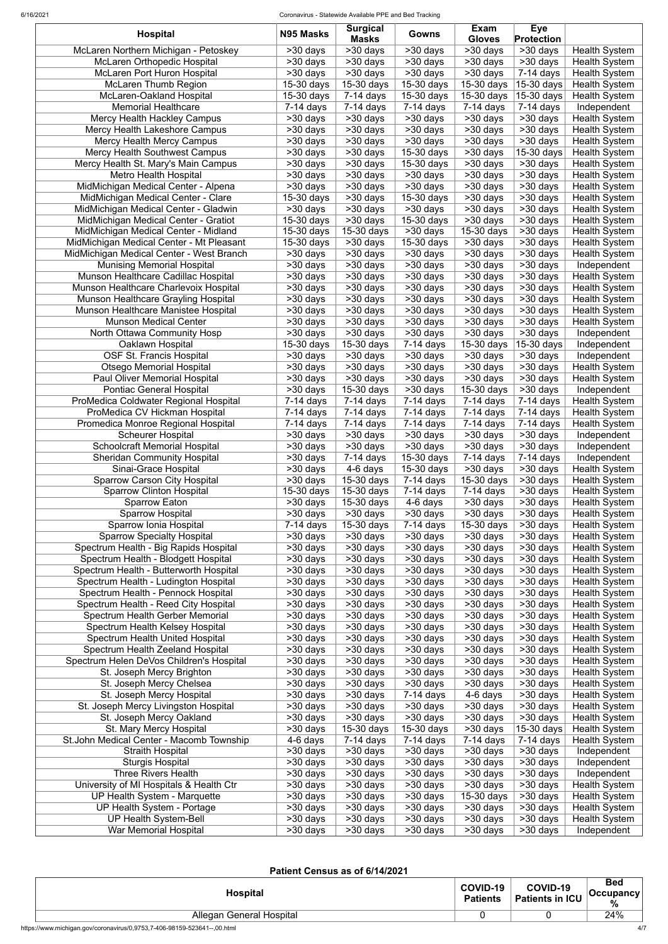| <b>Hospital</b>                          | N95 Masks                        | <b>Surgical</b><br><b>Masks</b> | Gowns                   | Exam<br><b>Gloves</b> | <b>Eye</b><br><b>Protection</b> |                      |
|------------------------------------------|----------------------------------|---------------------------------|-------------------------|-----------------------|---------------------------------|----------------------|
| McLaren Northern Michigan - Petoskey     | $>30$ days                       | >30 days                        | $>30$ days              | >30 days              | >30 days                        | <b>Health System</b> |
| <b>McLaren Orthopedic Hospital</b>       | >30 days                         | >30 days                        | $>30$ days              | $>30$ days            | $>30$ days                      | <b>Health System</b> |
| <b>McLaren Port Huron Hospital</b>       | >30 days                         | >30 days                        | >30 days                | >30 days              | $7-14$ days                     | <b>Health System</b> |
| <b>McLaren Thumb Region</b>              | 15-30 days                       | 15-30 days                      | 15-30 days              | 15-30 days            | 15-30 days                      | <b>Health System</b> |
| McLaren-Oakland Hospital                 | 15-30 days                       | $7-14$ days                     | 15-30 days              | 15-30 days            | 15-30 days                      | <b>Health System</b> |
| <b>Memorial Healthcare</b>               | $7-14$ days                      | $7-14$ days                     | $7-14$ days             | $7-14$ days           | $7-14$ days                     | Independent          |
| Mercy Health Hackley Campus              | >30 days                         | >30 days                        | >30 days                | >30 days              | >30 days                        | <b>Health System</b> |
| Mercy Health Lakeshore Campus            | >30 days                         | >30 days                        | >30 days                | >30 days              | >30 days                        | <b>Health System</b> |
| <b>Mercy Health Mercy Campus</b>         | >30 days                         | >30 days                        | >30 days                | >30 days              | >30 days                        | <b>Health System</b> |
| <b>Mercy Health Southwest Campus</b>     | >30 days                         | >30 days                        | 15-30 days              | >30 days              | 15-30 days                      | <b>Health System</b> |
| Mercy Health St. Mary's Main Campus      | >30 days                         | >30 days                        | 15-30 days              | >30 days              | >30 days                        | <b>Health System</b> |
| <b>Metro Health Hospital</b>             | >30 days                         | >30 days                        | >30 days                | >30 days              | >30 days                        | <b>Health System</b> |
| MidMichigan Medical Center - Alpena      | $>30$ days                       | >30 days                        | >30 days                | >30 days              | >30 days                        | <b>Health System</b> |
| MidMichigan Medical Center - Clare       | 15-30 days                       | >30 days                        | 15-30 days              | >30 days              | >30 days                        | <b>Health System</b> |
| MidMichigan Medical Center - Gladwin     | >30 days                         | >30 days                        | >30 days                | >30 days              | >30 days                        | <b>Health System</b> |
| MidMichigan Medical Center - Gratiot     | 15-30 days                       | >30 days                        | 15-30 days              | >30 days              | >30 days                        | <b>Health System</b> |
| MidMichigan Medical Center - Midland     | 15-30 days                       | 15-30 days                      | >30 days                | 15-30 days            | >30 days                        | <b>Health System</b> |
| MidMichigan Medical Center - Mt Pleasant | 15-30 days                       | >30 days                        | 15-30 days              | >30 days              | >30 days                        | <b>Health System</b> |
| MidMichigan Medical Center - West Branch | >30 days                         | >30 days                        | >30 days                | >30 days              | >30 days                        | <b>Health System</b> |
| <b>Munising Memorial Hospital</b>        | >30 days                         | >30 days                        | >30 days                | >30 days              | >30 days                        | Independent          |
| Munson Healthcare Cadillac Hospital      | >30 days                         | >30 days                        | $>30$ days              | $>30$ days            | >30 days                        | <b>Health System</b> |
| Munson Healthcare Charlevoix Hospital    | >30 days                         | >30 days                        | >30 days                | >30 days              | >30 days                        | <b>Health System</b> |
| Munson Healthcare Grayling Hospital      | >30 days                         | >30 days                        | $>30$ days              | >30 days              | >30 days                        | <b>Health System</b> |
| Munson Healthcare Manistee Hospital      | >30 days                         | >30 days                        | $>30$ days              | >30 days              | $>30$ days                      | <b>Health System</b> |
| <b>Munson Medical Center</b>             | >30 days                         | >30 days                        | >30 days                | >30 days              | >30 days                        | <b>Health System</b> |
| North Ottawa Community Hosp              | >30 days                         | $>30$ days                      | $>30$ days              | >30 days              | >30 days                        | Independent          |
| Oaklawn Hospital                         | 15-30 days                       | $15-30$ days                    | $7-14$ days             | 15-30 days            | 15-30 days                      | Independent          |
| <b>OSF St. Francis Hospital</b>          |                                  |                                 |                         |                       |                                 |                      |
|                                          | >30 days                         | >30 days                        | >30 days                | >30 days              | $>30$ days                      | Independent          |
| <b>Otsego Memorial Hospital</b>          | >30 days                         | >30 days                        | >30 days                | >30 days              | >30 days                        | <b>Health System</b> |
| <b>Paul Oliver Memorial Hospital</b>     | $\overline{\smash{\sim}30}$ days | >30 days                        | $>30$ days              | $\overline{>30}$ days | $530$ days                      | <b>Health System</b> |
| <b>Pontiac General Hospital</b>          | >30 days                         | 15-30 days                      | >30 days                | 15-30 days            | >30 days                        | Independent          |
| ProMedica Coldwater Regional Hospital    | $7-14$ days                      | $7-14$ days                     | $\overline{7}$ -14 days | $7-14$ days           | $\overline{7}$ -14 days         | <b>Health System</b> |
| ProMedica CV Hickman Hospital            | $7-14$ days                      | $7-14$ days                     | $7-14$ days             | 7-14 days             | 7-14 days                       | <b>Health System</b> |
| Promedica Monroe Regional Hospital       | $7-14$ days                      | $7-14$ days                     | $7-14$ days             | $7-14$ days           | $7-14$ days                     | <b>Health System</b> |
| <b>Scheurer Hospital</b>                 | >30 days                         | >30 days                        | >30 days                | >30 days              | >30 days                        | Independent          |
| <b>Schoolcraft Memorial Hospital</b>     | >30 days                         | >30 days                        | >30 days                | >30 days              | >30 days                        | Independent          |
| <b>Sheridan Community Hospital</b>       | >30 days                         | $7-14$ days                     | 15-30 days              | 7-14 days             | $7-14$ days                     | Independent          |
| Sinai-Grace Hospital                     | >30 days                         | 4-6 days                        | 15-30 days              | >30 days              | >30 days                        | <b>Health System</b> |
| <b>Sparrow Carson City Hospital</b>      | >30 days                         | 15-30 days                      | $7-14$ days             | 15-30 days            | >30 days                        | <b>Health System</b> |
| <b>Sparrow Clinton Hospital</b>          | 15-30 days                       | 15-30 days                      | $7-14$ days             | 7-14 days             | >30 days                        | <b>Health System</b> |
| <b>Sparrow Eaton</b>                     | >30 days                         | 15-30 days                      | 4-6 days                | >30 days              | >30 days                        | <b>Health System</b> |
| <b>Sparrow Hospital</b>                  | >30 days                         | >30 days                        | >30 days                | >30 days              | >30 days                        | <b>Health System</b> |
| Sparrow Ionia Hospital                   | $7-14$ days                      | 15-30 days                      | $7-14$ days             | 15-30 days            | >30 days                        | <b>Health System</b> |
| <b>Sparrow Specialty Hospital</b>        | >30 days                         | >30 days                        | >30 days                | >30 days              | >30 days                        | <b>Health System</b> |
| Spectrum Health - Big Rapids Hospital    | >30 days                         | >30 days                        | >30 days                | >30 days              | >30 days                        | <b>Health System</b> |
| Spectrum Health - Blodgett Hospital      | >30 days                         | >30 days                        | >30 days                | >30 days              | >30 days                        | <b>Health System</b> |
| Spectrum Health - Butterworth Hospital   | >30 days                         | >30 days                        | >30 days                | >30 days              | >30 days                        | <b>Health System</b> |
| Spectrum Health - Ludington Hospital     | >30 days                         | >30 days                        | >30 days                | >30 days              | >30 days                        | <b>Health System</b> |
| Spectrum Health - Pennock Hospital       | >30 days                         | >30 days                        | >30 days                | >30 days              | >30 days                        | <b>Health System</b> |
| Spectrum Health - Reed City Hospital     | >30 days                         | >30 days                        | >30 days                | >30 days              | >30 days                        | <b>Health System</b> |
| Spectrum Health Gerber Memorial          | >30 days                         | >30 days                        | >30 days                | >30 days              | >30 days                        | <b>Health System</b> |
| Spectrum Health Kelsey Hospital          | >30 days                         | >30 days                        | >30 days                | >30 days              | >30 days                        | <b>Health System</b> |
| Spectrum Health United Hospital          | >30 days                         | $>30$ days                      | $>30$ days              | >30 days              | >30 days                        | <b>Health System</b> |
| <b>Spectrum Health Zeeland Hospital</b>  | >30 days                         | >30 days                        | >30 days                | >30 days              | >30 days                        | <b>Health System</b> |
| Spectrum Helen DeVos Children's Hospital | >30 days                         | >30 days                        | $>30$ days              | >30 days              | $>30$ days                      | <b>Health System</b> |
| St. Joseph Mercy Brighton                | $>30$ days                       | >30 days                        | $>30$ days              | >30 days              | $>30$ days                      | <b>Health System</b> |
| St. Joseph Mercy Chelsea                 | >30 days                         | >30 days                        | >30 days                | >30 days              | >30 days                        | <b>Health System</b> |
| St. Joseph Mercy Hospital                | >30 days                         | >30 days                        | $\overline{7}$ -14 days | 4-6 days              | >30 days                        | <b>Health System</b> |
| St. Joseph Mercy Livingston Hospital     | >30 days                         | $>30$ days                      | $>30$ days              | >30 days              | >30 days                        | <b>Health System</b> |
| St. Joseph Mercy Oakland                 | >30 days                         | >30 days                        | >30 days                | >30 days              | >30 days                        | <b>Health System</b> |
| St. Mary Mercy Hospital                  | $>30$ days                       | 15-30 days                      | 15-30 days              | $>30$ days            | 15-30 days                      | <b>Health System</b> |
| St.John Medical Center - Macomb Township | 4-6 days                         | $7-14$ days                     | $7-14$ days             | $7-14$ days           | $7-14$ days                     | <b>Health System</b> |
| <b>Straith Hospital</b>                  | >30 days                         | >30 days                        | >30 days                | >30 days              | $\overline{>30}$ days           | Independent          |
| <b>Sturgis Hospital</b>                  | >30 days                         | $\overline{>}30$ days           | >30 days                | >30 days              | $>30$ days                      | Independent          |
| <b>Three Rivers Health</b>               | >30 days                         | >30 days                        | >30 days                | >30 days              | >30 days                        | Independent          |
| University of MI Hospitals & Health Ctr  | >30 days                         | >30 days                        | >30 days                | >30 days              | >30 days                        | <b>Health System</b> |
| UP Health System - Marquette             | >30 days                         | >30 days                        | >30 days                | 15-30 days            | >30 days                        | <b>Health System</b> |
| UP Health System - Portage               | >30 days                         | >30 days                        | >30 days                | >30 days              | >30 days                        | <b>Health System</b> |
| <b>UP Health System-Bell</b>             | >30 days                         | >30 days                        | >30 days                | >30 days              | >30 days                        | <b>Health System</b> |
| <b>War Memorial Hospital</b>             | >30 days                         | >30 days                        | >30 days                | >30 days              | >30 days                        | Independent          |
|                                          |                                  |                                 |                         |                       |                                 |                      |

# **Patient Census as of 6/14/2021**

| <b>Hospital</b>          | <b>COVID-19</b><br><b>Patients</b> | COVID-19<br>Patients in ICU | <b>Bed</b><br><b>Occupancy</b><br>0/ |
|--------------------------|------------------------------------|-----------------------------|--------------------------------------|
| Allegan General Hospital |                                    |                             | 24%                                  |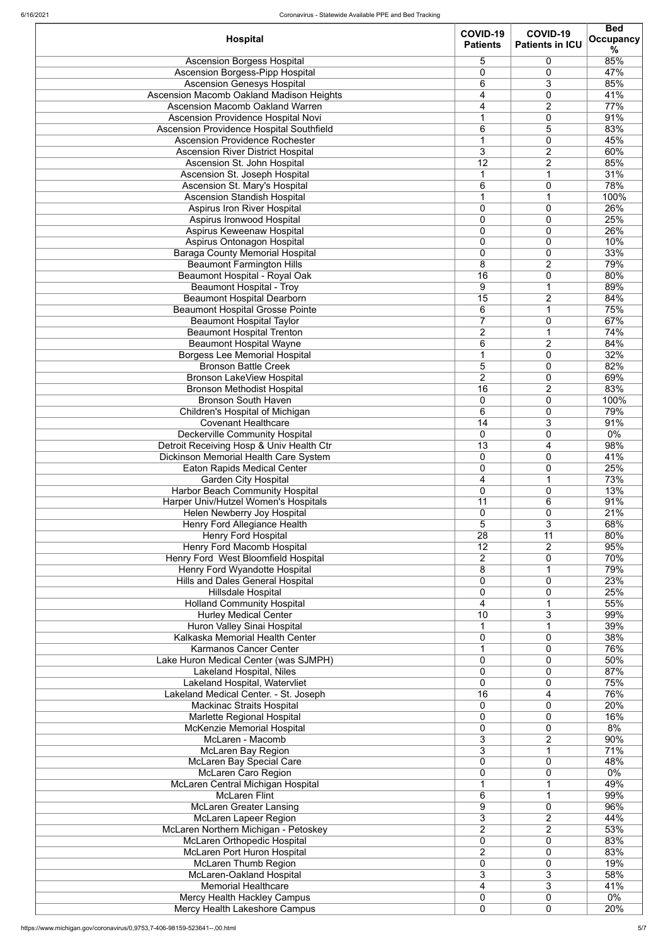|                                          | COVID-19<br>COVID-19 |                        | <b>Bed</b>       |  |
|------------------------------------------|----------------------|------------------------|------------------|--|
| <b>Hospital</b>                          | <b>Patients</b>      | <b>Patients in ICU</b> | <b>Occupancy</b> |  |
|                                          |                      |                        | %                |  |
| <b>Ascension Borgess Hospital</b>        | 5                    | 0                      | 85%              |  |
| <b>Ascension Borgess-Pipp Hospital</b>   | $\overline{0}$       | 0                      | 47%              |  |
| <b>Ascension Genesys Hospital</b>        | 6                    | 3                      | 85%              |  |
| Ascension Macomb Oakland Madison Heights | 4                    | 0                      | 41%              |  |
|                                          |                      |                        |                  |  |
| <b>Ascension Macomb Oakland Warren</b>   | 4                    | $\overline{2}$         | 77%              |  |
| Ascension Providence Hospital Novi       |                      | 0                      | 91%              |  |
| Ascension Providence Hospital Southfield | 6                    | 5                      | 83%              |  |
| <b>Ascension Providence Rochester</b>    |                      | $\mathbf 0$            | 45%              |  |
| <b>Ascension River District Hospital</b> | 3                    | $\overline{2}$         | 60%              |  |
| Ascension St. John Hospital              | 12                   | $\overline{2}$         | 85%              |  |
|                                          |                      |                        |                  |  |
| Ascension St. Joseph Hospital            | 1                    | 1                      | 31%              |  |
| Ascension St. Mary's Hospital            | 6                    | 0                      | 78%              |  |
| <b>Ascension Standish Hospital</b>       |                      | 1                      | 100%             |  |
| <b>Aspirus Iron River Hospital</b>       | $\overline{0}$       | 0                      | 26%              |  |
| Aspirus Ironwood Hospital                | $\overline{0}$       | 0                      | 25%              |  |
|                                          | $\overline{0}$       | $\overline{0}$         | 26%              |  |
| Aspirus Keweenaw Hospital                |                      |                        |                  |  |
| Aspirus Ontonagon Hospital               | $\overline{0}$       | 0                      | 10%              |  |
| <b>Baraga County Memorial Hospital</b>   | $\overline{0}$       | 0                      | 33%              |  |
| <b>Beaumont Farmington Hills</b>         | $\overline{8}$       | $\overline{2}$         | 79%              |  |
| <b>Beaumont Hospital - Royal Oak</b>     | $\overline{16}$      | 0                      | 80%              |  |
| <b>Beaumont Hospital - Troy</b>          | 9                    |                        | 89%              |  |
|                                          |                      |                        |                  |  |
| <b>Beaumont Hospital Dearborn</b>        | $\overline{15}$      | $\overline{2}$         | 84%              |  |
| <b>Beaumont Hospital Grosse Pointe</b>   | 6                    | 1                      | 75%              |  |
| <b>Beaumont Hospital Taylor</b>          | $\overline{7}$       | $\mathbf 0$            | 67%              |  |
| <b>Beaumont Hospital Trenton</b>         | $\overline{2}$       | 1                      | 74%              |  |
| <b>Beaumont Hospital Wayne</b>           | 6                    | $\overline{2}$         | 84%              |  |
|                                          | 1                    | 0                      | 32%              |  |
| <b>Borgess Lee Memorial Hospital</b>     |                      |                        |                  |  |
| <b>Bronson Battle Creek</b>              | 5                    | 0                      | 82%              |  |
| <b>Bronson LakeView Hospital</b>         | $\overline{2}$       | $\Omega$               | 69%              |  |
| <b>Bronson Methodist Hospital</b>        | 16                   | $\overline{2}$         | 83%              |  |
| <b>Bronson South Haven</b>               | 0                    | 0                      | 100%             |  |
| Children's Hospital of Michigan          | 6                    | 0                      | 79%              |  |
|                                          |                      |                        |                  |  |
| <b>Covenant Healthcare</b>               | 14                   | 3                      | 91%              |  |
| <b>Deckerville Community Hospital</b>    | 0                    | 0                      | $0\%$            |  |
| Detroit Receiving Hosp & Univ Health Ctr | 13                   | 4                      | 98%              |  |
| Dickinson Memorial Health Care System    | 0                    | 0                      | 41%              |  |
| <b>Eaton Rapids Medical Center</b>       | 0                    | 0                      | 25%              |  |
| <b>Garden City Hospital</b>              | 4                    |                        | 73%              |  |
|                                          |                      |                        |                  |  |
| <b>Harbor Beach Community Hospital</b>   | $\overline{0}$       | 0                      | 13%              |  |
| Harper Univ/Hutzel Women's Hospitals     | 11                   | 6                      | 91%              |  |
| Helen Newberry Joy Hospital              | $\overline{0}$       | 0                      | 21%              |  |
| Henry Ford Allegiance Health             | 5                    | 3                      | 68%              |  |
| <b>Henry Ford Hospital</b>               | 28                   | 11                     | 80%              |  |
| Henry Ford Macomb Hospital               | 12                   | $\overline{2}$         | 95%              |  |
|                                          |                      | 0                      |                  |  |
| Henry Ford West Bloomfield Hospital      | $\overline{2}$       |                        | 70%              |  |
| Henry Ford Wyandotte Hospital            | 8                    |                        | 79%              |  |
| <b>Hills and Dales General Hospital</b>  | $\overline{0}$       | 0                      | 23%              |  |
| Hillsdale Hospital                       | $\mathbf 0$          | 0                      | 25%              |  |
| <b>Holland Community Hospital</b>        | 4                    |                        | 55%              |  |
| <b>Hurley Medical Center</b>             | 10                   | 3                      | 99%              |  |
|                                          |                      |                        |                  |  |
| Huron Valley Sinai Hospital              | 1                    | $\mathbf 1$            | 39%              |  |
| Kalkaska Memorial Health Center          | 0                    | 0                      | 38%              |  |
| Karmanos Cancer Center                   | 1                    | 0                      | 76%              |  |
| Lake Huron Medical Center (was SJMPH)    | $\overline{0}$       | 0                      | 50%              |  |
| <b>Lakeland Hospital, Niles</b>          | $\overline{0}$       | 0                      | 87%              |  |
| Lakeland Hospital, Watervliet            | $\overline{0}$       | 0                      | 75%              |  |
|                                          |                      |                        |                  |  |
| Lakeland Medical Center. - St. Joseph    | 16                   | 4                      | 76%              |  |
| <b>Mackinac Straits Hospital</b>         | 0                    | 0                      | 20%              |  |
| Marlette Regional Hospital               | $\overline{0}$       | 0                      | 16%              |  |
| <b>McKenzie Memorial Hospital</b>        | 0                    | 0                      | 8%               |  |
| McLaren - Macomb                         | 3                    | 2                      | 90%              |  |
| <b>McLaren Bay Region</b>                | $\overline{3}$       | 1                      | 71%              |  |
|                                          |                      |                        |                  |  |
| <b>McLaren Bay Special Care</b>          | $\Omega$             | 0                      | 48%              |  |
| <b>McLaren Caro Region</b>               | $\Omega$             | 0                      | $0\%$            |  |
| McLaren Central Michigan Hospital        |                      |                        | 49%              |  |
| McLaren Flint                            | 6                    | 1                      | 99%              |  |
| <b>McLaren Greater Lansing</b>           | 9                    | 0                      | 96%              |  |
|                                          | 3                    | $\overline{2}$         | 44%              |  |
| <b>McLaren Lapeer Region</b>             |                      |                        |                  |  |
| McLaren Northern Michigan - Petoskey     | $\overline{2}$       | $\overline{2}$         | 53%              |  |
| <b>McLaren Orthopedic Hospital</b>       | $\overline{0}$       | 0                      | 83%              |  |
| McLaren Port Huron Hospital              | $\overline{2}$       | 0                      | 83%              |  |
| <b>McLaren Thumb Region</b>              | $\overline{0}$       | 0                      | 19%              |  |
| McLaren-Oakland Hospital                 | 3                    | 3                      | 58%              |  |
| <b>Memorial Healthcare</b>               |                      | 3                      |                  |  |
|                                          | 4                    |                        | 41%              |  |
| Mercy Health Hackley Campus              | $\Omega$             | 0                      | 0%               |  |
| Mercy Health Lakeshore Campus            | 0                    | 0                      | 20%              |  |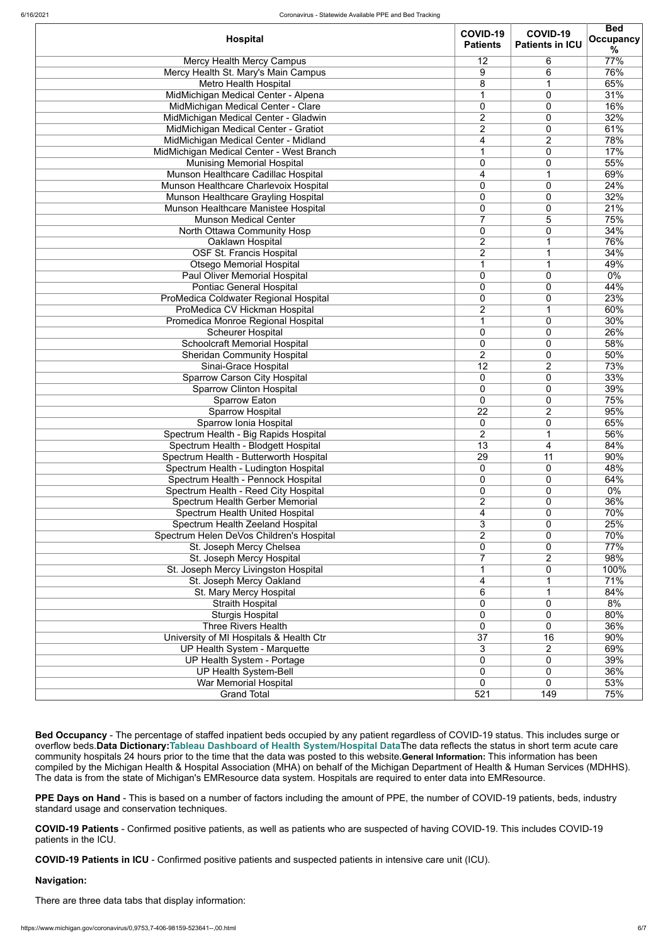|                                          | <b>COVID-19</b> | COVID-19               | <b>Bed</b>       |
|------------------------------------------|-----------------|------------------------|------------------|
| <b>Hospital</b>                          | <b>Patients</b> | <b>Patients in ICU</b> | <b>Occupancy</b> |
|                                          |                 |                        | %                |
| <b>Mercy Health Mercy Campus</b>         | 12              | 6                      | 77%              |
| Mercy Health St. Mary's Main Campus      | 9               | 6                      | 76%              |
| <b>Metro Health Hospital</b>             | 8               |                        | 65%              |
| MidMichigan Medical Center - Alpena      |                 | 0                      | 31%              |
| MidMichigan Medical Center - Clare       | 0               | 0                      | 16%              |
| MidMichigan Medical Center - Gladwin     | $\overline{2}$  | 0                      | 32%              |
| MidMichigan Medical Center - Gratiot     | $\overline{2}$  | 0                      | 61%              |
| MidMichigan Medical Center - Midland     | 4               | $\overline{2}$         | 78%              |
|                                          |                 | 0                      | 17%              |
| MidMichigan Medical Center - West Branch |                 |                        |                  |
| <b>Munising Memorial Hospital</b>        | 0               | 0                      | 55%              |
| Munson Healthcare Cadillac Hospital      | 4               |                        | 69%              |
| Munson Healthcare Charlevoix Hospital    | 0               | 0                      | 24%              |
| Munson Healthcare Grayling Hospital      | 0               | 0                      | 32%              |
| Munson Healthcare Manistee Hospital      | 0               | 0                      | 21%              |
| <b>Munson Medical Center</b>             | 7               | 5                      | 75%              |
| North Ottawa Community Hosp              | 0               | 0                      | 34%              |
| Oaklawn Hospital                         | $\overline{2}$  |                        | 76%              |
| <b>OSF St. Francis Hospital</b>          | $\overline{2}$  |                        | 34%              |
| <b>Otsego Memorial Hospital</b>          |                 |                        | 49%              |
| Paul Oliver Memorial Hospital            | $\overline{0}$  | 0                      | $0\%$            |
| <b>Pontiac General Hospital</b>          | 0               | 0                      | 44%              |
| ProMedica Coldwater Regional Hospital    | 0               | 0                      | 23%              |
| ProMedica CV Hickman Hospital            | $\overline{2}$  |                        | 60%              |
|                                          |                 |                        |                  |
| Promedica Monroe Regional Hospital       |                 | 0                      | 30%              |
| <b>Scheurer Hospital</b>                 | 0               | 0                      | 26%              |
| <b>Schoolcraft Memorial Hospital</b>     | 0               | 0                      | 58%              |
| <b>Sheridan Community Hospital</b>       | $\overline{2}$  | 0                      | 50%              |
| Sinai-Grace Hospital                     | $\overline{12}$ | $\overline{2}$         | 73%              |
| <b>Sparrow Carson City Hospital</b>      | $\Omega$        | $\Omega$               | 33%              |
| <b>Sparrow Clinton Hospital</b>          | $\overline{0}$  | 0                      | 39%              |
| <b>Sparrow Eaton</b>                     | 0               | 0                      | 75%              |
| <b>Sparrow Hospital</b>                  | 22              | $\overline{2}$         | 95%              |
| Sparrow Ionia Hospital                   | 0               | 0                      | 65%              |
| Spectrum Health - Big Rapids Hospital    | $\overline{2}$  |                        | 56%              |
| Spectrum Health - Blodgett Hospital      | 13              | 4                      | 84%              |
| Spectrum Health - Butterworth Hospital   | 29              | 11                     | 90%              |
| Spectrum Health - Ludington Hospital     | $\mathbf 0$     | 0                      | 48%              |
|                                          |                 |                        |                  |
| Spectrum Health - Pennock Hospital       | 0               | 0                      | 64%              |
| Spectrum Health - Reed City Hospital     | 0               | 0                      | 0%               |
| Spectrum Health Gerber Memorial          | $\overline{2}$  | 0                      | 36%              |
| <b>Spectrum Health United Hospital</b>   | 4               | 0                      | 70%              |
| Spectrum Health Zeeland Hospital         | 3               | 0                      | 25%              |
| Spectrum Helen DeVos Children's Hospital | $\overline{2}$  | 0                      | 70%              |
| St. Joseph Mercy Chelsea                 | 0               | 0                      | 77%              |
| St. Joseph Mercy Hospital                |                 | $\overline{2}$         | 98%              |
| St. Joseph Mercy Livingston Hospital     |                 | 0                      | 100%             |
| St. Joseph Mercy Oakland                 | 4               |                        | 71%              |
| St. Mary Mercy Hospital                  | 6               |                        | 84%              |
| <b>Straith Hospital</b>                  | 0               | 0                      | 8%               |
| <b>Sturgis Hospital</b>                  | 0               | 0                      | 80%              |
| <b>Three Rivers Health</b>               | 0               | 0                      | 36%              |
|                                          |                 |                        |                  |
| University of MI Hospitals & Health Ctr  | $\overline{37}$ | 16                     | 90%              |
| UP Health System - Marquette             | 3               | $\overline{2}$         | 69%              |
| UP Health System - Portage               | 0               | 0                      | 39%              |
| <b>UP Health System-Bell</b>             | 0               | 0                      | 36%              |
| <b>War Memorial Hospital</b>             | $\overline{0}$  | 0                      | 53%              |
| <b>Grand Total</b>                       | 521             | 149                    | 75%              |

**Bed Occupancy** - The percentage of staffed inpatient beds occupied by any patient regardless of COVID-19 status. This includes surge or overflow beds.**Data Dictionary:[Tableau Dashboard of Health System/Hospital Data](https://public.tableau.com/profile/mhapublic#!/vizhome/COVIDPublicDashboard/PleaseRead)**The data reflects the status in short term acute care community hospitals 24 hours prior to the time that the data was posted to this website.**General Information:** This information has been compiled by the Michigan Health & Hospital Association (MHA) on behalf of the Michigan Department of Health & Human Services (MDHHS). The data is from the state of Michigan's EMResource data system. Hospitals are required to enter data into EMResource.

**PPE Days on Hand** - This is based on a number of factors including the amount of PPE, the number of COVID-19 patients, beds, industry standard usage and conservation techniques.

**COVID-19 Patients** - Confirmed positive patients, as well as patients who are suspected of having COVID-19. This includes COVID-19 patients in the ICU.

**COVID-19 Patients in ICU** - Confirmed positive patients and suspected patients in intensive care unit (ICU).

## **Navigation:**

There are three data tabs that display information: